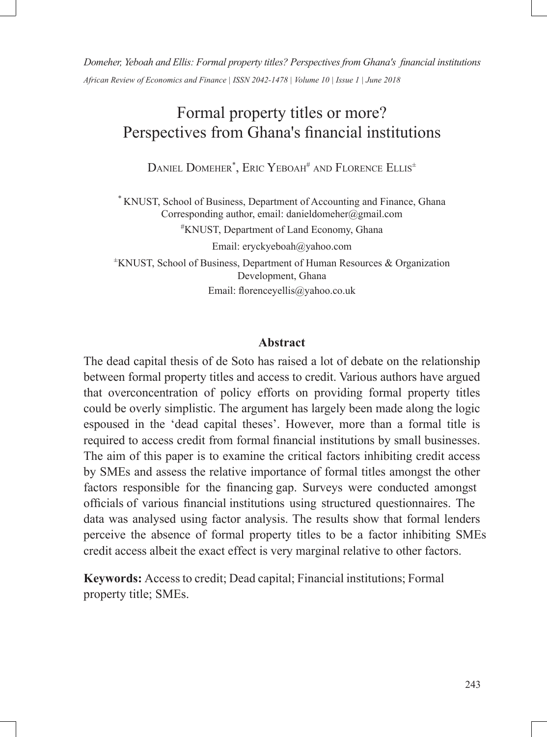*Domeher,Yeboah and Ellis: Formal property titles? Perspectives from Ghana's financial institutions African Review of Economics and Finance | ISSN 2042-1478 | Volume 10 | Issue 1 | June 2018*

# Formal property titles or more? Perspectives from Ghana's financial institutions

Daniel Domeher\*, Eric Yeboah# and Florence Ellis±

\* KNUST, School of Business, Department of Accounting and Finance, Ghana Corresponding author, email: danieldomeher@gmail.com #KNUST, Department of Land Economy, Ghana Email: eryckyeboah@yahoo.com <sup>±</sup>KNUST, School of Business, Department of Human Resources & Organization Development, Ghana Email: florenceyellis@yahoo.co.uk

### **Abstract**

The dead capital thesis of de Soto has raised a lot of debate on the relationship between formal property titles and access to credit. Various authors have argued that overconcentration of policy efforts on providing formal property titles could be overly simplistic. The argument has largely been made along the logic espoused in the 'dead capital theses'. However, more than a formal title is required to access credit from formal financial institutions by small businesses. The aim of this paper is to examine the critical factors inhibiting credit access by SMEs and assess the relative importance of formal titles amongst the other factors responsible for the financing gap. Surveys were conducted amongst officials of various financial institutions using structured questionnaires. The data was analysed using factor analysis. The results show that formal lenders perceive the absence of formal property titles to be a factor inhibiting SMEs credit access albeit the exact effect is very marginal relative to other factors.

**Keywords:** Access to credit; Dead capital; Financial institutions; Formal property title; SMEs.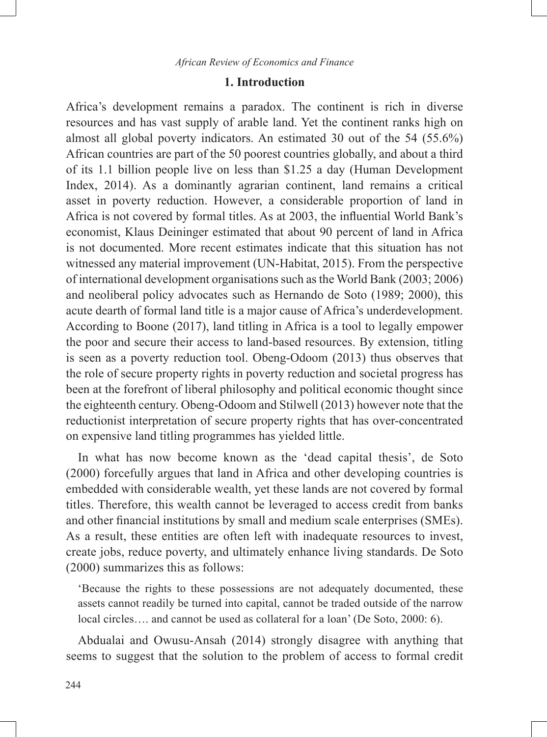### **1. Introduction**

Africa's development remains a paradox. The continent is rich in diverse resources and has vast supply of arable land. Yet the continent ranks high on almost all global poverty indicators. An estimated 30 out of the 54 (55.6%) African countries are part of the 50 poorest countries globally, and about a third of its 1.1 billion people live on less than \$1.25 a day (Human Development Index, 2014). As a dominantly agrarian continent, land remains a critical asset in poverty reduction. However, a considerable proportion of land in Africa is not covered by formal titles. As at 2003, the influential World Bank's economist, Klaus Deininger estimated that about 90 percent of land in Africa is not documented. More recent estimates indicate that this situation has not witnessed any material improvement (UN-Habitat, 2015). From the perspective of international development organisations such as the World Bank (2003; 2006) and neoliberal policy advocates such as Hernando de Soto (1989; 2000), this acute dearth of formal land title is a major cause of Africa's underdevelopment. According to Boone (2017), land titling in Africa is a tool to legally empower the poor and secure their access to land-based resources. By extension, titling is seen as a poverty reduction tool. Obeng-Odoom (2013) thus observes that the role of secure property rights in poverty reduction and societal progress has been at the forefront of liberal philosophy and political economic thought since the eighteenth century. Obeng-Odoom and Stilwell (2013) however note that the reductionist interpretation of secure property rights that has over-concentrated on expensive land titling programmes has yielded little.

In what has now become known as the 'dead capital thesis', de Soto (2000) forcefully argues that land in Africa and other developing countries is embedded with considerable wealth, yet these lands are not covered by formal titles. Therefore, this wealth cannot be leveraged to access credit from banks and other financial institutions by small and medium scale enterprises (SMEs). As a result, these entities are often left with inadequate resources to invest, create jobs, reduce poverty, and ultimately enhance living standards. De Soto (2000) summarizes this as follows:

'Because the rights to these possessions are not adequately documented, these assets cannot readily be turned into capital, cannot be traded outside of the narrow local circles…. and cannot be used as collateral for a loan' (De Soto, 2000: 6).

Abdualai and Owusu-Ansah (2014) strongly disagree with anything that seems to suggest that the solution to the problem of access to formal credit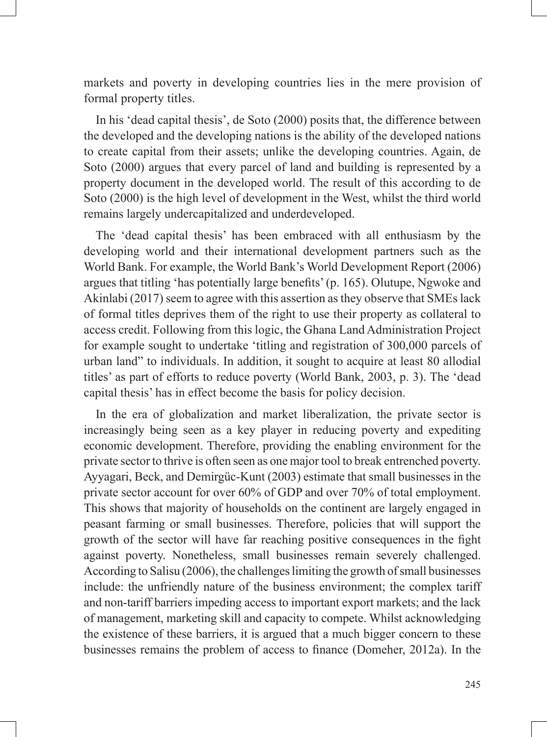markets and poverty in developing countries lies in the mere provision of formal property titles.

In his 'dead capital thesis', de Soto (2000) posits that, the difference between the developed and the developing nations is the ability of the developed nations to create capital from their assets; unlike the developing countries. Again, de Soto (2000) argues that every parcel of land and building is represented by a property document in the developed world. The result of this according to de Soto (2000) is the high level of development in the West, whilst the third world remains largely undercapitalized and underdeveloped.

The 'dead capital thesis' has been embraced with all enthusiasm by the developing world and their international development partners such as the World Bank. For example, the World Bank's World Development Report (2006) argues that titling 'has potentially large benefits' (p. 165). Olutupe, Ngwoke and Akinlabi (2017) seem to agree with this assertion as they observe that SMEs lack of formal titles deprives them of the right to use their property as collateral to access credit. Following from this logic, the Ghana Land Administration Project for example sought to undertake 'titling and registration of 300,000 parcels of urban land" to individuals. In addition, it sought to acquire at least 80 allodial titles' as part of efforts to reduce poverty (World Bank, 2003, p. 3). The 'dead capital thesis' has in effect become the basis for policy decision.

In the era of globalization and market liberalization, the private sector is increasingly being seen as a key player in reducing poverty and expediting economic development. Therefore, providing the enabling environment for the private sector to thrive is often seen as one major tool to break entrenched poverty. Ayyagari, Beck, and Demirgüc-Kunt (2003) estimate that small businesses in the private sector account for over 60% of GDP and over 70% of total employment. This shows that majority of households on the continent are largely engaged in peasant farming or small businesses. Therefore, policies that will support the growth of the sector will have far reaching positive consequences in the fight against poverty. Nonetheless, small businesses remain severely challenged. According to Salisu (2006), the challenges limiting the growth of small businesses include: the unfriendly nature of the business environment; the complex tariff and non-tariff barriers impeding access to important export markets; and the lack of management, marketing skill and capacity to compete. Whilst acknowledging the existence of these barriers, it is argued that a much bigger concern to these businesses remains the problem of access to finance (Domeher, 2012a). In the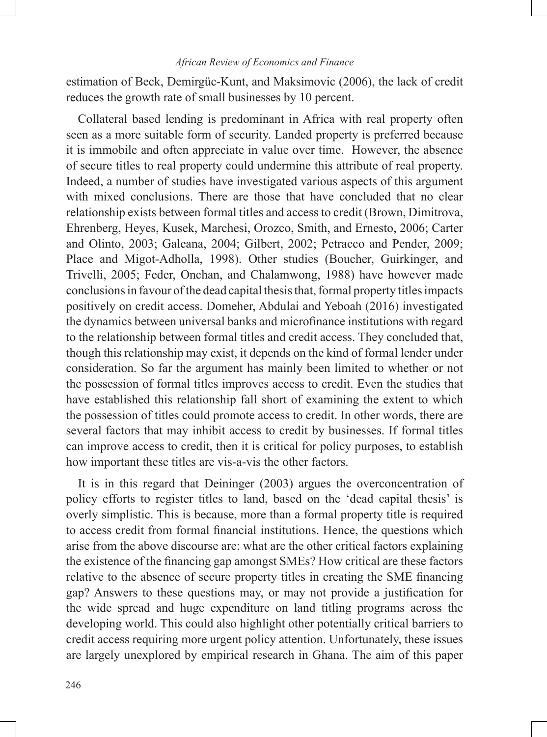estimation of Beck, Demirgüc-Kunt, and Maksimovic (2006), the lack of credit reduces the growth rate of small businesses by 10 percent.

Collateral based lending is predominant in Africa with real property often seen as a more suitable form of security. Landed property is preferred because it is immobile and often appreciate in value over time. However, the absence of secure titles to real property could undermine this attribute of real property. Indeed, a number of studies have investigated various aspects of this argument with mixed conclusions. There are those that have concluded that no clear relationship exists between formal titles and access to credit (Brown, Dimitrova, Ehrenberg, Heyes, Kusek, Marchesi, Orozco, Smith, and Ernesto, 2006; Carter and Olinto, 2003; Galeana, 2004; Gilbert, 2002; Petracco and Pender, 2009; Place and Migot-Adholla, 1998). Other studies (Boucher, Guirkinger, and Trivelli, 2005; Feder, Onchan, and Chalamwong, 1988) have however made conclusions in favour of the dead capital thesis that, formal property titles impacts positively on credit access. Domeher, Abdulai and Yeboah (2016) investigated the dynamics between universal banks and microfinance institutions with regard to the relationship between formal titles and credit access. They concluded that, though this relationship may exist, it depends on the kind of formal lender under consideration. So far the argument has mainly been limited to whether or not the possession of formal titles improves access to credit. Even the studies that have established this relationship fall short of examining the extent to which the possession of titles could promote access to credit. In other words, there are several factors that may inhibit access to credit by businesses. If formal titles can improve access to credit, then it is critical for policy purposes, to establish how important these titles are vis-a-vis the other factors.

It is in this regard that Deininger (2003) argues the overconcentration of policy efforts to register titles to land, based on the 'dead capital thesis' is overly simplistic. This is because, more than a formal property title is required to access credit from formal financial institutions. Hence, the questions which arise from the above discourse are: what are the other critical factors explaining the existence of the financing gap amongst SMEs? How critical are these factors relative to the absence of secure property titles in creating the SME financing gap? Answers to these questions may, or may not provide a justification for the wide spread and huge expenditure on land titling programs across the developing world. This could also highlight other potentially critical barriers to credit access requiring more urgent policy attention. Unfortunately, these issues are largely unexplored by empirical research in Ghana. The aim of this paper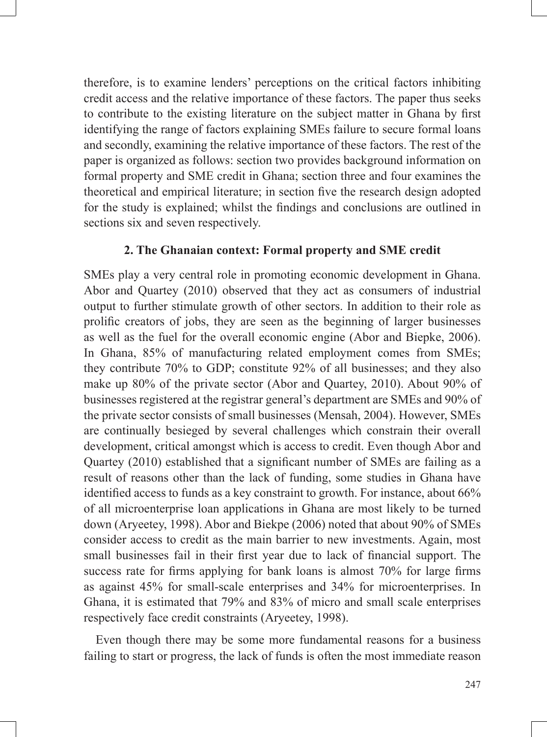therefore, is to examine lenders' perceptions on the critical factors inhibiting credit access and the relative importance of these factors. The paper thus seeks to contribute to the existing literature on the subject matter in Ghana by first identifying the range of factors explaining SMEs failure to secure formal loans and secondly, examining the relative importance of these factors. The rest of the paper is organized as follows: section two provides background information on formal property and SME credit in Ghana; section three and four examines the theoretical and empirical literature; in section five the research design adopted for the study is explained; whilst the findings and conclusions are outlined in sections six and seven respectively.

### **2. The Ghanaian context: Formal property and SME credit**

SMEs play a very central role in promoting economic development in Ghana. Abor and Quartey (2010) observed that they act as consumers of industrial output to further stimulate growth of other sectors. In addition to their role as prolific creators of jobs, they are seen as the beginning of larger businesses as well as the fuel for the overall economic engine (Abor and Biepke, 2006). In Ghana, 85% of manufacturing related employment comes from SMEs; they contribute 70% to GDP; constitute 92% of all businesses; and they also make up 80% of the private sector (Abor and Quartey, 2010). About 90% of businesses registered at the registrar general's department are SMEs and 90% of the private sector consists of small businesses (Mensah, 2004). However, SMEs are continually besieged by several challenges which constrain their overall development, critical amongst which is access to credit. Even though Abor and Quartey (2010) established that a significant number of SMEs are failing as a result of reasons other than the lack of funding, some studies in Ghana have identified access to funds as a key constraint to growth. For instance, about 66% of all microenterprise loan applications in Ghana are most likely to be turned down (Aryeetey, 1998). Abor and Biekpe (2006) noted that about 90% of SMEs consider access to credit as the main barrier to new investments. Again, most small businesses fail in their first year due to lack of financial support. The success rate for firms applying for bank loans is almost 70% for large firms as against 45% for small-scale enterprises and 34% for microenterprises. In Ghana, it is estimated that 79% and 83% of micro and small scale enterprises respectively face credit constraints (Aryeetey, 1998).

Even though there may be some more fundamental reasons for a business failing to start or progress, the lack of funds is often the most immediate reason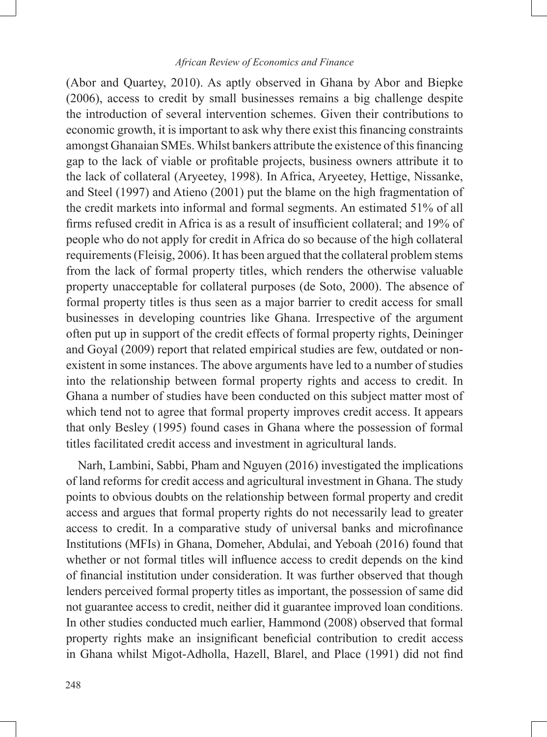(Abor and Quartey, 2010). As aptly observed in Ghana by Abor and Biepke (2006), access to credit by small businesses remains a big challenge despite the introduction of several intervention schemes. Given their contributions to economic growth, it is important to ask why there exist this financing constraints amongst Ghanaian SMEs. Whilst bankers attribute the existence of this financing gap to the lack of viable or profitable projects, business owners attribute it to the lack of collateral (Aryeetey, 1998). In Africa, Aryeetey, Hettige, Nissanke, and Steel (1997) and Atieno (2001) put the blame on the high fragmentation of the credit markets into informal and formal segments. An estimated 51% of all firms refused credit in Africa is as a result of insufficient collateral; and 19% of people who do not apply for credit in Africa do so because of the high collateral requirements (Fleisig, 2006). It has been argued that the collateral problem stems from the lack of formal property titles, which renders the otherwise valuable property unacceptable for collateral purposes (de Soto, 2000). The absence of formal property titles is thus seen as a major barrier to credit access for small businesses in developing countries like Ghana. Irrespective of the argument often put up in support of the credit effects of formal property rights, Deininger and Goyal (2009) report that related empirical studies are few, outdated or nonexistent in some instances. The above arguments have led to a number of studies into the relationship between formal property rights and access to credit. In Ghana a number of studies have been conducted on this subject matter most of which tend not to agree that formal property improves credit access. It appears that only Besley (1995) found cases in Ghana where the possession of formal titles facilitated credit access and investment in agricultural lands.

Narh, Lambini, Sabbi, Pham and Nguyen (2016) investigated the implications of land reforms for credit access and agricultural investment in Ghana. The study points to obvious doubts on the relationship between formal property and credit access and argues that formal property rights do not necessarily lead to greater access to credit. In a comparative study of universal banks and microfinance Institutions (MFIs) in Ghana, Domeher, Abdulai, and Yeboah (2016) found that whether or not formal titles will influence access to credit depends on the kind of financial institution under consideration. It was further observed that though lenders perceived formal property titles as important, the possession of same did not guarantee access to credit, neither did it guarantee improved loan conditions. In other studies conducted much earlier, Hammond (2008) observed that formal property rights make an insignificant beneficial contribution to credit access in Ghana whilst Migot-Adholla, Hazell, Blarel, and Place (1991) did not find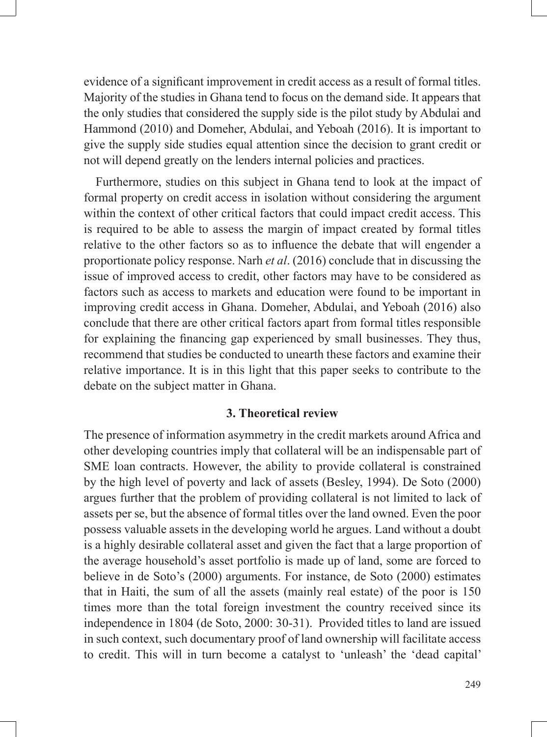evidence of a significant improvement in credit access as a result of formal titles. Majority of the studies in Ghana tend to focus on the demand side. It appears that the only studies that considered the supply side is the pilot study by Abdulai and Hammond (2010) and Domeher, Abdulai, and Yeboah (2016). It is important to give the supply side studies equal attention since the decision to grant credit or not will depend greatly on the lenders internal policies and practices.

Furthermore, studies on this subject in Ghana tend to look at the impact of formal property on credit access in isolation without considering the argument within the context of other critical factors that could impact credit access. This is required to be able to assess the margin of impact created by formal titles relative to the other factors so as to influence the debate that will engender a proportionate policy response. Narh *et al*. (2016) conclude that in discussing the issue of improved access to credit, other factors may have to be considered as factors such as access to markets and education were found to be important in improving credit access in Ghana. Domeher, Abdulai, and Yeboah (2016) also conclude that there are other critical factors apart from formal titles responsible for explaining the financing gap experienced by small businesses. They thus, recommend that studies be conducted to unearth these factors and examine their relative importance. It is in this light that this paper seeks to contribute to the debate on the subject matter in Ghana.

### **3. Theoretical review**

The presence of information asymmetry in the credit markets around Africa and other developing countries imply that collateral will be an indispensable part of SME loan contracts. However, the ability to provide collateral is constrained by the high level of poverty and lack of assets (Besley, 1994). De Soto (2000) argues further that the problem of providing collateral is not limited to lack of assets per se, but the absence of formal titles over the land owned. Even the poor possess valuable assets in the developing world he argues. Land without a doubt is a highly desirable collateral asset and given the fact that a large proportion of the average household's asset portfolio is made up of land, some are forced to believe in de Soto's (2000) arguments. For instance, de Soto (2000) estimates that in Haiti, the sum of all the assets (mainly real estate) of the poor is 150 times more than the total foreign investment the country received since its independence in 1804 (de Soto, 2000: 30-31). Provided titles to land are issued in such context, such documentary proof of land ownership will facilitate access to credit. This will in turn become a catalyst to 'unleash' the 'dead capital'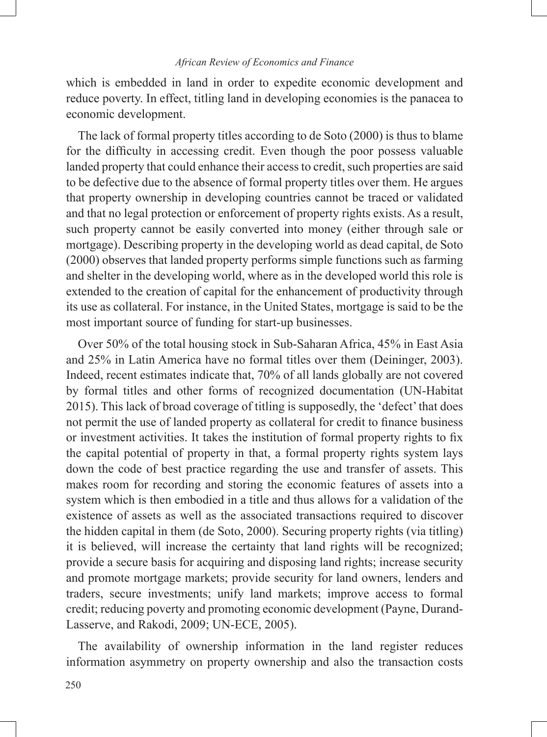which is embedded in land in order to expedite economic development and reduce poverty. In effect, titling land in developing economies is the panacea to economic development.

The lack of formal property titles according to de Soto (2000) is thus to blame for the difficulty in accessing credit. Even though the poor possess valuable landed property that could enhance their access to credit, such properties are said to be defective due to the absence of formal property titles over them. He argues that property ownership in developing countries cannot be traced or validated and that no legal protection or enforcement of property rights exists. As a result, such property cannot be easily converted into money (either through sale or mortgage). Describing property in the developing world as dead capital, de Soto (2000) observes that landed property performs simple functions such as farming and shelter in the developing world, where as in the developed world this role is extended to the creation of capital for the enhancement of productivity through its use as collateral. For instance, in the United States, mortgage is said to be the most important source of funding for start-up businesses.

Over 50% of the total housing stock in Sub-Saharan Africa, 45% in East Asia and 25% in Latin America have no formal titles over them (Deininger, 2003). Indeed, recent estimates indicate that, 70% of all lands globally are not covered by formal titles and other forms of recognized documentation (UN-Habitat 2015). This lack of broad coverage of titling is supposedly, the 'defect' that does not permit the use of landed property as collateral for credit to finance business or investment activities. It takes the institution of formal property rights to fix the capital potential of property in that, a formal property rights system lays down the code of best practice regarding the use and transfer of assets. This makes room for recording and storing the economic features of assets into a system which is then embodied in a title and thus allows for a validation of the existence of assets as well as the associated transactions required to discover the hidden capital in them (de Soto, 2000). Securing property rights (via titling) it is believed, will increase the certainty that land rights will be recognized; provide a secure basis for acquiring and disposing land rights; increase security and promote mortgage markets; provide security for land owners, lenders and traders, secure investments; unify land markets; improve access to formal credit; reducing poverty and promoting economic development (Payne, Durand-Lasserve, and Rakodi, 2009; UN-ECE, 2005).

The availability of ownership information in the land register reduces information asymmetry on property ownership and also the transaction costs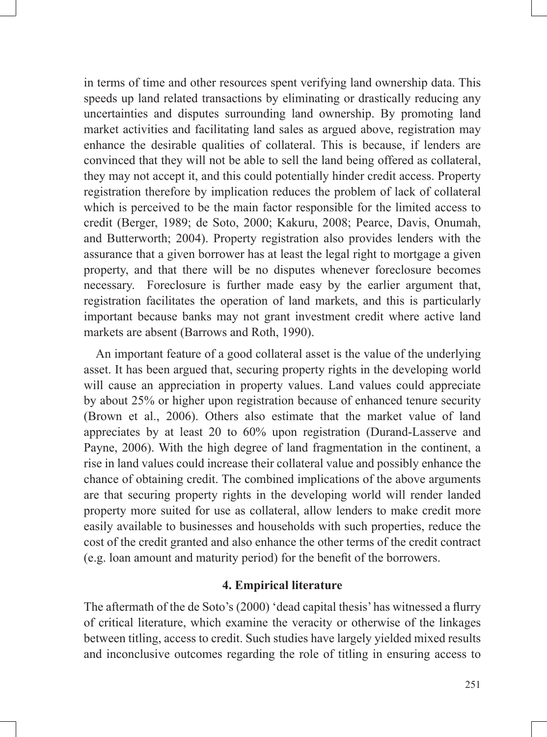in terms of time and other resources spent verifying land ownership data. This speeds up land related transactions by eliminating or drastically reducing any uncertainties and disputes surrounding land ownership. By promoting land market activities and facilitating land sales as argued above, registration may enhance the desirable qualities of collateral. This is because, if lenders are convinced that they will not be able to sell the land being offered as collateral, they may not accept it, and this could potentially hinder credit access. Property registration therefore by implication reduces the problem of lack of collateral which is perceived to be the main factor responsible for the limited access to credit (Berger, 1989; de Soto, 2000; Kakuru, 2008; Pearce, Davis, Onumah, and Butterworth; 2004). Property registration also provides lenders with the assurance that a given borrower has at least the legal right to mortgage a given property, and that there will be no disputes whenever foreclosure becomes necessary. Foreclosure is further made easy by the earlier argument that, registration facilitates the operation of land markets, and this is particularly important because banks may not grant investment credit where active land markets are absent (Barrows and Roth, 1990).

An important feature of a good collateral asset is the value of the underlying asset. It has been argued that, securing property rights in the developing world will cause an appreciation in property values. Land values could appreciate by about 25% or higher upon registration because of enhanced tenure security (Brown et al., 2006). Others also estimate that the market value of land appreciates by at least 20 to 60% upon registration (Durand-Lasserve and Payne, 2006). With the high degree of land fragmentation in the continent, a rise in land values could increase their collateral value and possibly enhance the chance of obtaining credit. The combined implications of the above arguments are that securing property rights in the developing world will render landed property more suited for use as collateral, allow lenders to make credit more easily available to businesses and households with such properties, reduce the cost of the credit granted and also enhance the other terms of the credit contract (e.g. loan amount and maturity period) for the benefit of the borrowers.

### **4. Empirical literature**

The aftermath of the de Soto's (2000) 'dead capital thesis' has witnessed a flurry of critical literature, which examine the veracity or otherwise of the linkages between titling, access to credit. Such studies have largely yielded mixed results and inconclusive outcomes regarding the role of titling in ensuring access to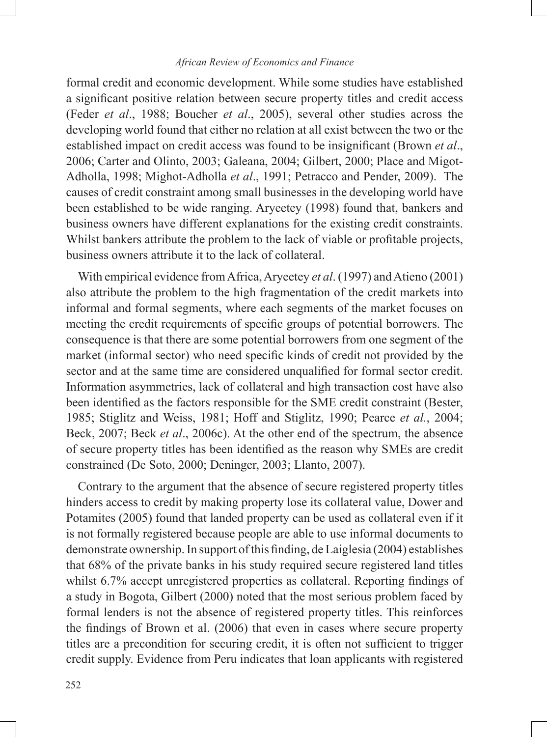formal credit and economic development. While some studies have established a significant positive relation between secure property titles and credit access (Feder *et al*., 1988; Boucher *et al*., 2005), several other studies across the developing world found that either no relation at all exist between the two or the established impact on credit access was found to be insignificant (Brown *et al*., 2006; Carter and Olinto, 2003; Galeana, 2004; Gilbert, 2000; Place and Migot-Adholla, 1998; Mighot-Adholla *et al*., 1991; Petracco and Pender, 2009). The causes of credit constraint among small businesses in the developing world have been established to be wide ranging. Aryeetey (1998) found that, bankers and business owners have different explanations for the existing credit constraints. Whilst bankers attribute the problem to the lack of viable or profitable projects, business owners attribute it to the lack of collateral.

With empirical evidence from Africa, Aryeetey *et al*. (1997) and Atieno (2001) also attribute the problem to the high fragmentation of the credit markets into informal and formal segments, where each segments of the market focuses on meeting the credit requirements of specific groups of potential borrowers. The consequence is that there are some potential borrowers from one segment of the market (informal sector) who need specific kinds of credit not provided by the sector and at the same time are considered unqualified for formal sector credit. Information asymmetries, lack of collateral and high transaction cost have also been identified as the factors responsible for the SME credit constraint (Bester, 1985; Stiglitz and Weiss, 1981; Hoff and Stiglitz, 1990; Pearce *et al.*, 2004; Beck, 2007; Beck *et al*., 2006c). At the other end of the spectrum, the absence of secure property titles has been identified as the reason why SMEs are credit constrained (De Soto, 2000; Deninger, 2003; Llanto, 2007).

Contrary to the argument that the absence of secure registered property titles hinders access to credit by making property lose its collateral value, Dower and Potamites (2005) found that landed property can be used as collateral even if it is not formally registered because people are able to use informal documents to demonstrate ownership. In support of this finding, de Laiglesia (2004) establishes that 68% of the private banks in his study required secure registered land titles whilst 6.7% accept unregistered properties as collateral. Reporting findings of a study in Bogota, Gilbert (2000) noted that the most serious problem faced by formal lenders is not the absence of registered property titles. This reinforces the findings of Brown et al. (2006) that even in cases where secure property titles are a precondition for securing credit, it is often not sufficient to trigger credit supply. Evidence from Peru indicates that loan applicants with registered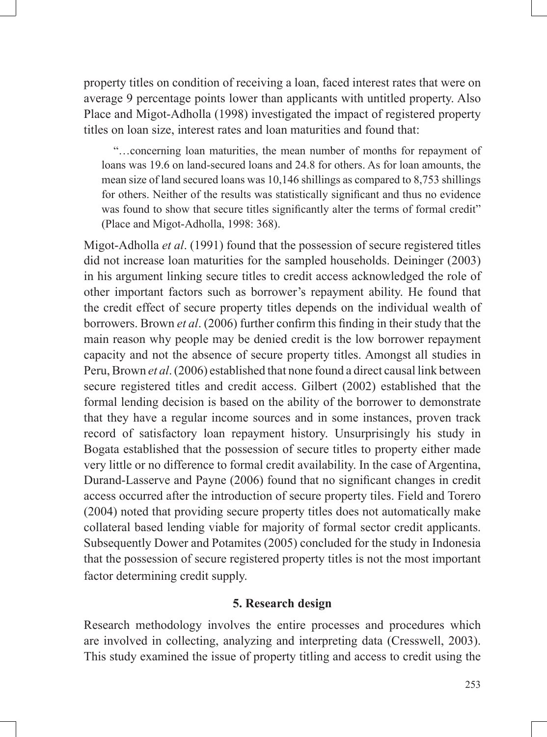property titles on condition of receiving a loan, faced interest rates that were on average 9 percentage points lower than applicants with untitled property. Also Place and Migot-Adholla (1998) investigated the impact of registered property titles on loan size, interest rates and loan maturities and found that:

"…concerning loan maturities, the mean number of months for repayment of loans was 19.6 on land-secured loans and 24.8 for others. As for loan amounts, the mean size of land secured loans was 10,146 shillings as compared to 8,753 shillings for others. Neither of the results was statistically significant and thus no evidence was found to show that secure titles significantly alter the terms of formal credit" (Place and Migot-Adholla, 1998: 368).

Migot-Adholla *et al*. (1991) found that the possession of secure registered titles did not increase loan maturities for the sampled households. Deininger (2003) in his argument linking secure titles to credit access acknowledged the role of other important factors such as borrower's repayment ability. He found that the credit effect of secure property titles depends on the individual wealth of borrowers. Brown *et al*. (2006) further confirm this finding in their study that the main reason why people may be denied credit is the low borrower repayment capacity and not the absence of secure property titles. Amongst all studies in Peru, Brown *et al*. (2006) established that none found a direct causal link between secure registered titles and credit access. Gilbert (2002) established that the formal lending decision is based on the ability of the borrower to demonstrate that they have a regular income sources and in some instances, proven track record of satisfactory loan repayment history. Unsurprisingly his study in Bogata established that the possession of secure titles to property either made very little or no difference to formal credit availability. In the case of Argentina, Durand-Lasserve and Payne (2006) found that no significant changes in credit access occurred after the introduction of secure property tiles. Field and Torero (2004) noted that providing secure property titles does not automatically make collateral based lending viable for majority of formal sector credit applicants. Subsequently Dower and Potamites (2005) concluded for the study in Indonesia that the possession of secure registered property titles is not the most important factor determining credit supply.

### **5. Research design**

Research methodology involves the entire processes and procedures which are involved in collecting, analyzing and interpreting data (Cresswell, 2003). This study examined the issue of property titling and access to credit using the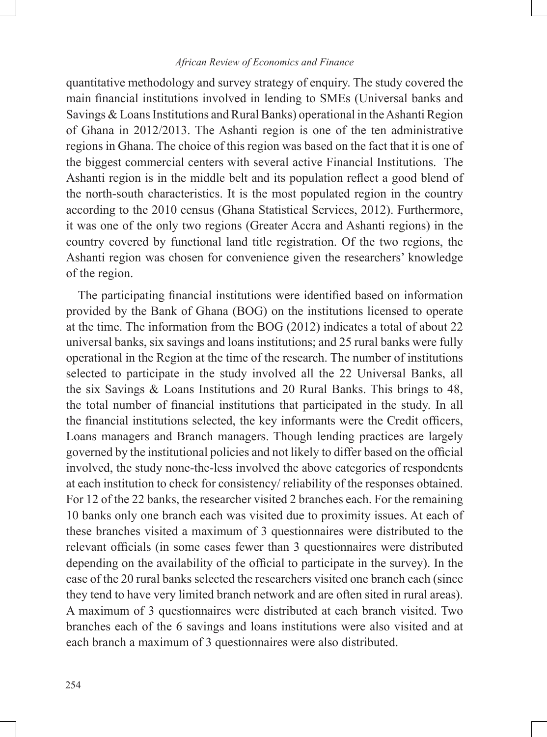quantitative methodology and survey strategy of enquiry. The study covered the main financial institutions involved in lending to SMEs (Universal banks and Savings & Loans Institutions and Rural Banks) operational in the Ashanti Region of Ghana in 2012/2013. The Ashanti region is one of the ten administrative regions in Ghana. The choice of this region was based on the fact that it is one of the biggest commercial centers with several active Financial Institutions. The Ashanti region is in the middle belt and its population reflect a good blend of the north-south characteristics. It is the most populated region in the country according to the 2010 census (Ghana Statistical Services, 2012). Furthermore, it was one of the only two regions (Greater Accra and Ashanti regions) in the country covered by functional land title registration. Of the two regions, the Ashanti region was chosen for convenience given the researchers' knowledge of the region.

The participating financial institutions were identified based on information provided by the Bank of Ghana (BOG) on the institutions licensed to operate at the time. The information from the BOG (2012) indicates a total of about 22 universal banks, six savings and loans institutions; and 25 rural banks were fully operational in the Region at the time of the research. The number of institutions selected to participate in the study involved all the 22 Universal Banks, all the six Savings & Loans Institutions and 20 Rural Banks. This brings to 48, the total number of financial institutions that participated in the study. In all the financial institutions selected, the key informants were the Credit officers, Loans managers and Branch managers. Though lending practices are largely governed by the institutional policies and not likely to differ based on the official involved, the study none-the-less involved the above categories of respondents at each institution to check for consistency/ reliability of the responses obtained. For 12 of the 22 banks, the researcher visited 2 branches each. For the remaining 10 banks only one branch each was visited due to proximity issues. At each of these branches visited a maximum of 3 questionnaires were distributed to the relevant officials (in some cases fewer than 3 questionnaires were distributed depending on the availability of the official to participate in the survey). In the case of the 20 rural banks selected the researchers visited one branch each (since they tend to have very limited branch network and are often sited in rural areas). A maximum of 3 questionnaires were distributed at each branch visited. Two branches each of the 6 savings and loans institutions were also visited and at each branch a maximum of 3 questionnaires were also distributed.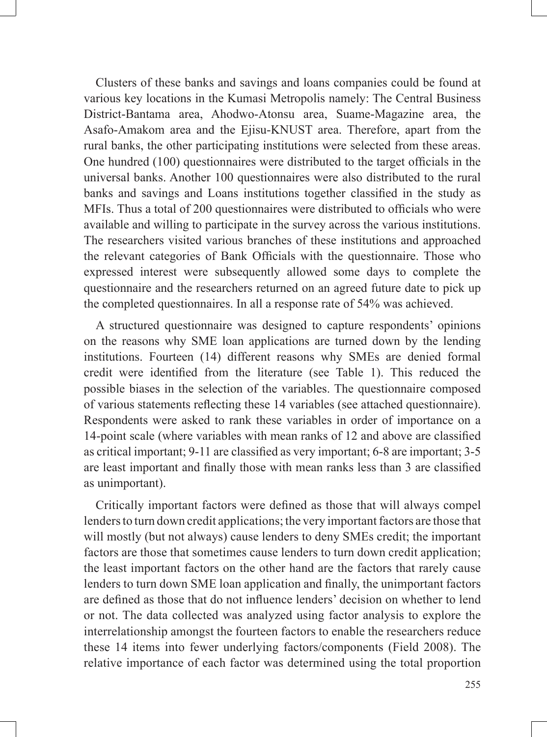Clusters of these banks and savings and loans companies could be found at various key locations in the Kumasi Metropolis namely: The Central Business District-Bantama area, Ahodwo-Atonsu area, Suame-Magazine area, the Asafo-Amakom area and the Ejisu-KNUST area. Therefore, apart from the rural banks, the other participating institutions were selected from these areas. One hundred (100) questionnaires were distributed to the target officials in the universal banks. Another 100 questionnaires were also distributed to the rural banks and savings and Loans institutions together classified in the study as MFIs. Thus a total of 200 questionnaires were distributed to officials who were available and willing to participate in the survey across the various institutions. The researchers visited various branches of these institutions and approached the relevant categories of Bank Officials with the questionnaire. Those who expressed interest were subsequently allowed some days to complete the questionnaire and the researchers returned on an agreed future date to pick up the completed questionnaires. In all a response rate of 54% was achieved.

A structured questionnaire was designed to capture respondents' opinions on the reasons why SME loan applications are turned down by the lending institutions. Fourteen (14) different reasons why SMEs are denied formal credit were identified from the literature (see Table 1). This reduced the possible biases in the selection of the variables. The questionnaire composed of various statements reflecting these 14 variables (see attached questionnaire). Respondents were asked to rank these variables in order of importance on a 14-point scale (where variables with mean ranks of 12 and above are classified as critical important; 9-11 are classified as very important; 6-8 are important; 3-5 are least important and finally those with mean ranks less than 3 are classified as unimportant).

Critically important factors were defined as those that will always compel lenders to turn down credit applications; the very important factors are those that will mostly (but not always) cause lenders to deny SMEs credit; the important factors are those that sometimes cause lenders to turn down credit application; the least important factors on the other hand are the factors that rarely cause lenders to turn down SME loan application and finally, the unimportant factors are defined as those that do not influence lenders' decision on whether to lend or not. The data collected was analyzed using factor analysis to explore the interrelationship amongst the fourteen factors to enable the researchers reduce these 14 items into fewer underlying factors/components (Field 2008). The relative importance of each factor was determined using the total proportion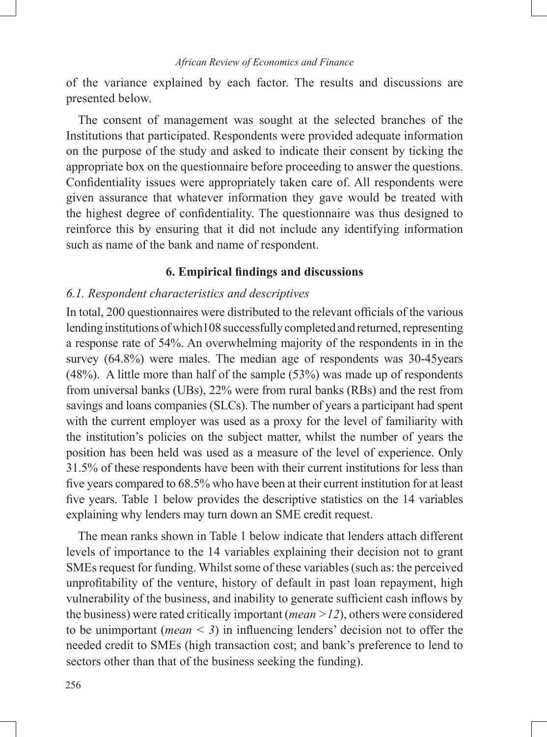of the variance explained by each factor. The results and discussions are presented below.

The consent of management was sought at the selected branches of the Institutions that participated. Respondents were provided adequate information on the purpose of the study and asked to indicate their consent by ticking the appropriate box on the questionnaire before proceeding to answer the questions. Confidentiality issues were appropriately taken care of. All respondents were given assurance that whatever information they gave would be treated with the highest degree of confidentiality. The questionnaire was thus designed to reinforce this by ensuring that it did not include any identifying information such as name of the bank and name of respondent.

## **6. Empirical findings and discussions**

### *6.1. Respondent characteristics and descriptives*

In total, 200 questionnaires were distributed to the relevant officials of the various lending institutions of which108 successfully completed and returned, representing a response rate of 54%. An overwhelming majority of the respondents in in the survey (64.8%) were males. The median age of respondents was 30-45years (48%). A little more than half of the sample (53%) was made up of respondents from universal banks (UBs), 22% were from rural banks (RBs) and the rest from savings and loans companies (SLCs). The number of years a participant had spent with the current employer was used as a proxy for the level of familiarity with the institution's policies on the subject matter, whilst the number of years the position has been held was used as a measure of the level of experience. Only 31.5% of these respondents have been with their current institutions for less than five years compared to 68.5% who have been at their current institution for at least five years. Table 1 below provides the descriptive statistics on the 14 variables explaining why lenders may turn down an SME credit request.

The mean ranks shown in Table 1 below indicate that lenders attach different levels of importance to the 14 variables explaining their decision not to grant SMEs request for funding. Whilst some of these variables (such as: the perceived unprofitability of the venture, history of default in past loan repayment, high vulnerability of the business, and inability to generate sufficient cash inflows by the business) were rated critically important (*mean >12*), others were considered to be unimportant (*mean < 3*) in influencing lenders' decision not to offer the needed credit to SMEs (high transaction cost; and bank's preference to lend to sectors other than that of the business seeking the funding).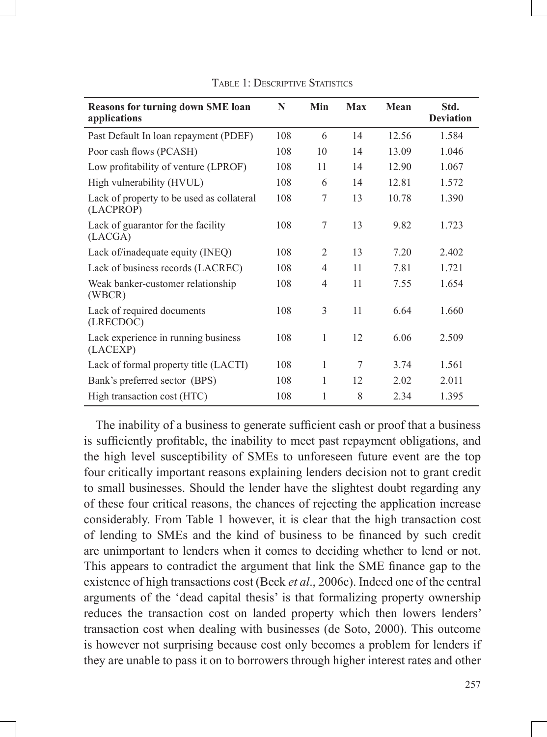| <b>Reasons for turning down SME loan</b><br>applications | N   | Min            | Max | Mean  | Std.<br><b>Deviation</b> |
|----------------------------------------------------------|-----|----------------|-----|-------|--------------------------|
| Past Default In loan repayment (PDEF)                    | 108 | 6              | 14  | 12.56 | 1.584                    |
| Poor cash flows (PCASH)                                  | 108 | 10             | 14  | 13.09 | 1.046                    |
| Low profitability of venture (LPROF)                     | 108 | 11             | 14  | 12.90 | 1.067                    |
| High vulnerability (HVUL)                                | 108 | 6              | 14  | 12.81 | 1.572                    |
| Lack of property to be used as collateral<br>(LACPROP)   | 108 | 7              | 13  | 10.78 | 1.390                    |
| Lack of guarantor for the facility<br>(LACGA)            | 108 | 7              | 13  | 9.82  | 1.723                    |
| Lack of/inadequate equity (INEQ)                         | 108 | 2              | 13  | 7.20  | 2.402                    |
| Lack of business records (LACREC)                        | 108 | $\overline{4}$ | 11  | 7.81  | 1.721                    |
| Weak banker-customer relationship<br>(WBCR)              | 108 | $\overline{4}$ | 11  | 7.55  | 1.654                    |
| Lack of required documents<br>(LRECDOC)                  | 108 | 3              | 11  | 6.64  | 1.660                    |
| Lack experience in running business<br>(LACEXP)          | 108 | 1              | 12  | 6.06  | 2.509                    |
| Lack of formal property title (LACTI)                    | 108 | 1              | 7   | 3.74  | 1.561                    |
| Bank's preferred sector (BPS)                            | 108 | 1              | 12  | 2.02  | 2.011                    |
| High transaction cost (HTC)                              | 108 | 1              | 8   | 2.34  | 1.395                    |

TABLE 1: DESCRIPTIVE STATISTICS

The inability of a business to generate sufficient cash or proof that a business is sufficiently profitable, the inability to meet past repayment obligations, and the high level susceptibility of SMEs to unforeseen future event are the top four critically important reasons explaining lenders decision not to grant credit to small businesses. Should the lender have the slightest doubt regarding any of these four critical reasons, the chances of rejecting the application increase considerably. From Table 1 however, it is clear that the high transaction cost of lending to SMEs and the kind of business to be financed by such credit are unimportant to lenders when it comes to deciding whether to lend or not. This appears to contradict the argument that link the SME finance gap to the existence of high transactions cost (Beck *et al*., 2006c). Indeed one of the central arguments of the 'dead capital thesis' is that formalizing property ownership reduces the transaction cost on landed property which then lowers lenders' transaction cost when dealing with businesses (de Soto, 2000). This outcome is however not surprising because cost only becomes a problem for lenders if they are unable to pass it on to borrowers through higher interest rates and other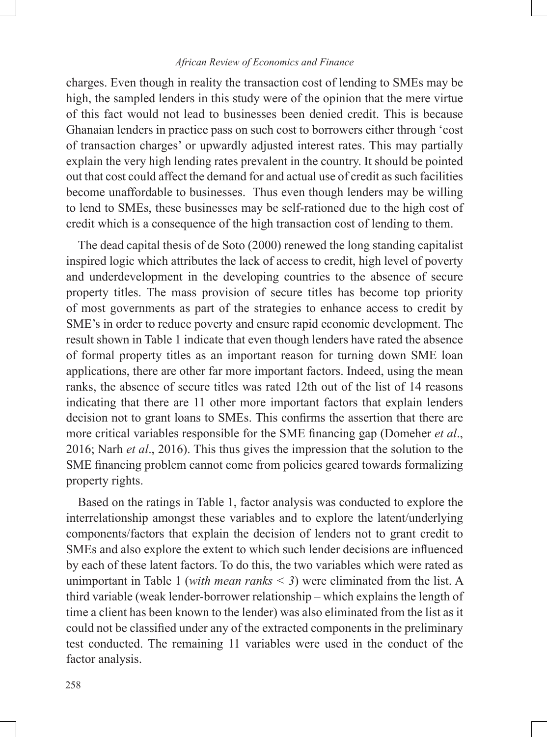charges. Even though in reality the transaction cost of lending to SMEs may be high, the sampled lenders in this study were of the opinion that the mere virtue of this fact would not lead to businesses been denied credit. This is because Ghanaian lenders in practice pass on such cost to borrowers either through 'cost of transaction charges' or upwardly adjusted interest rates. This may partially explain the very high lending rates prevalent in the country. It should be pointed out that cost could affect the demand for and actual use of credit as such facilities become unaffordable to businesses. Thus even though lenders may be willing to lend to SMEs, these businesses may be self-rationed due to the high cost of credit which is a consequence of the high transaction cost of lending to them.

The dead capital thesis of de Soto (2000) renewed the long standing capitalist inspired logic which attributes the lack of access to credit, high level of poverty and underdevelopment in the developing countries to the absence of secure property titles. The mass provision of secure titles has become top priority of most governments as part of the strategies to enhance access to credit by SME's in order to reduce poverty and ensure rapid economic development. The result shown in Table 1 indicate that even though lenders have rated the absence of formal property titles as an important reason for turning down SME loan applications, there are other far more important factors. Indeed, using the mean ranks, the absence of secure titles was rated 12th out of the list of 14 reasons indicating that there are 11 other more important factors that explain lenders decision not to grant loans to SMEs. This confirms the assertion that there are more critical variables responsible for the SME financing gap (Domeher *et al*., 2016; Narh *et al*., 2016). This thus gives the impression that the solution to the SME financing problem cannot come from policies geared towards formalizing property rights.

Based on the ratings in Table 1, factor analysis was conducted to explore the interrelationship amongst these variables and to explore the latent/underlying components/factors that explain the decision of lenders not to grant credit to SMEs and also explore the extent to which such lender decisions are influenced by each of these latent factors. To do this, the two variables which were rated as unimportant in Table 1 (*with mean ranks < 3*) were eliminated from the list. A third variable (weak lender-borrower relationship – which explains the length of time a client has been known to the lender) was also eliminated from the list as it could not be classified under any of the extracted components in the preliminary test conducted. The remaining 11 variables were used in the conduct of the factor analysis.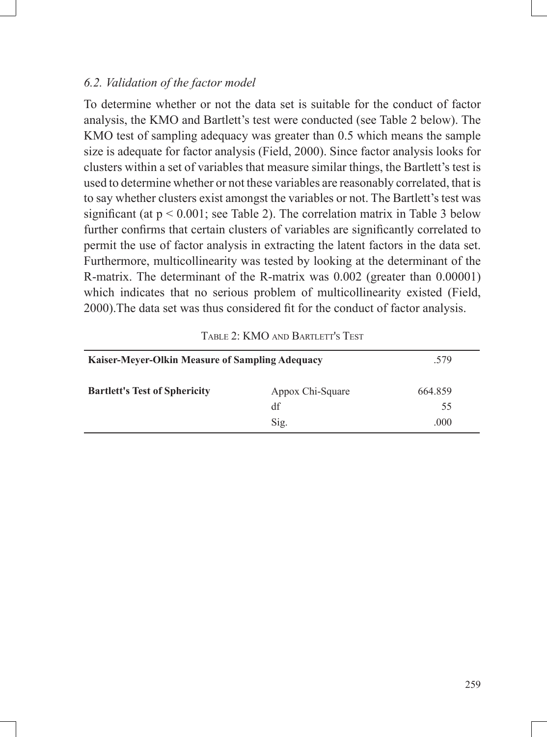# *6.2. Validation of the factor model*

To determine whether or not the data set is suitable for the conduct of factor analysis, the KMO and Bartlett's test were conducted (see Table 2 below). The KMO test of sampling adequacy was greater than 0.5 which means the sample size is adequate for factor analysis (Field, 2000). Since factor analysis looks for clusters within a set of variables that measure similar things, the Bartlett's test is used to determine whether or not these variables are reasonably correlated, that is to say whether clusters exist amongst the variables or not. The Bartlett's test was significant (at  $p < 0.001$ ; see Table 2). The correlation matrix in Table 3 below further confirms that certain clusters of variables are significantly correlated to permit the use of factor analysis in extracting the latent factors in the data set. Furthermore, multicollinearity was tested by looking at the determinant of the R-matrix. The determinant of the R-matrix was 0.002 (greater than 0.00001) which indicates that no serious problem of multicollinearity existed (Field, 2000).The data set was thus considered fit for the conduct of factor analysis.

| <b>Kaiser-Meyer-Olkin Measure of Sampling Adequacy</b> | .579                           |                       |
|--------------------------------------------------------|--------------------------------|-----------------------|
| <b>Bartlett's Test of Sphericity</b>                   | Appox Chi-Square<br>df<br>Sig. | 664.859<br>55<br>.000 |

Table 2: KMO and Bartlett's Test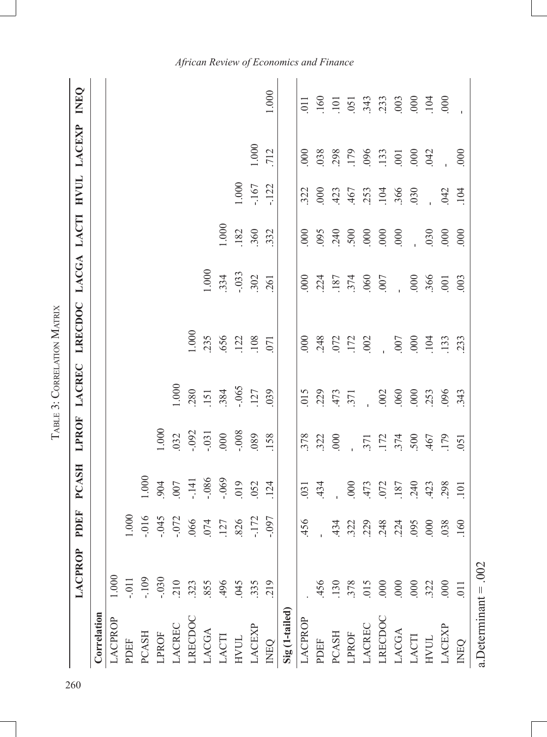|                            |                  |                        |                  |                      | <b>LABLE 3: CORRELATION MATRIX</b> |                    |                          |                  |                                 |                   |                                                                         |
|----------------------------|------------------|------------------------|------------------|----------------------|------------------------------------|--------------------|--------------------------|------------------|---------------------------------|-------------------|-------------------------------------------------------------------------|
|                            | LACPROP          | PDEF                   | <b>PCASH</b>     | <b>LPROF</b>         | <b>LACREC</b>                      | LRECDOC            | LACGA LACTI              |                  | <b>HVUL</b>                     | LACEXP            | <b>DAND</b>                                                             |
| Correlation                |                  |                        |                  |                      |                                    |                    |                          |                  |                                 |                   |                                                                         |
| LACPROP                    | 1.000            |                        |                  |                      |                                    |                    |                          |                  |                                 |                   |                                                                         |
| PDEF                       | $-0.011$         | 000                    |                  |                      |                                    |                    |                          |                  |                                 |                   |                                                                         |
| PCASH                      | $-109$           | $-0.016$               | $1.000\,$        |                      |                                    |                    |                          |                  |                                 |                   |                                                                         |
| LPROF                      | $-0.030$         | $-045$                 | 904              | 0001                 |                                    |                    |                          |                  |                                 |                   |                                                                         |
| LACREC                     | .210             |                        | $007$            | 032                  | 1.000                              |                    |                          |                  |                                 |                   |                                                                         |
| LRECDOC                    | .323             | $-072$<br>066          | $-141$           | $-0.092$             | 280                                | 1.000              |                          |                  |                                 |                   |                                                                         |
| LACGA                      | .855             |                        | $-086$           | $-0.31$              | 151                                | 235                | 1.000                    |                  |                                 |                   |                                                                         |
| LACTI                      | 496              | $074$<br>127           | $-069$           | $000\,$              | 384                                | 656                | 334                      | 0001             |                                 |                   |                                                                         |
| $\hbox{HVUL}$              | .045             | 826                    | 019              | $-0.008$             | $-065$                             |                    | $-0.33$                  | 182              | 1.000                           |                   |                                                                         |
| <b>ACEXP</b>               | .335             | $-172$                 | .052             | 080                  | 127                                | $108$              | 302                      | 360<br>332       | $-167$                          | 1.000             |                                                                         |
| <b>INEQ</b>                | 219              | $-0.097$               | 124              | 158                  | 039                                | 071                | 261                      |                  | $-122$                          | .712              | $1.000\,$                                                               |
| Sig (1-tailed)             |                  |                        |                  |                      |                                    |                    |                          |                  |                                 |                   |                                                                         |
| LACPROP                    |                  | .456                   | $\overline{03}$  | 378                  | 015                                | 000                | $\frac{000}{2}$          | 000              | 322                             | 000               | $\overline{0}$                                                          |
| PDEF                       | 456              |                        | 434              | 322                  | 229                                | 248                | 224                      | 095              | 000                             | 038               | 160                                                                     |
| PCASH                      | 130              |                        |                  | 000                  | 473<br>371                         |                    |                          | 240              |                                 |                   | 101                                                                     |
| LPROF                      | 378              | 4323<br>3234<br>423424 | 000              | $\frac{1}{\sqrt{2}}$ |                                    | 072<br>172<br>1002 | 187<br>374<br>060<br>007 | 500              | 423<br>467<br>467<br>194<br>196 | 298<br>179<br>133 | $\begin{array}{c} 51 \\ 343 \\ 233 \\ 000 \\ 000 \\ 100 \\ \end{array}$ |
| LACREC                     | 015              |                        | 473              | .371                 | $\frac{1}{2}$                      |                    |                          | $000$            |                                 |                   |                                                                         |
| LRECDOC                    | .000             |                        | 072              | $.172$<br>374        | .002                               | $\frac{1}{2}$      |                          | .000             |                                 |                   |                                                                         |
| LACGA                      | .000             |                        | 187              |                      | .060                               | 007                | $\overline{a}$           | 000              |                                 | .001              |                                                                         |
| LACTI                      | .000             | $rac{000}{500}$        | 240              | 500                  | 000                                | 000                | $.000$<br>$.366$         | $\frac{1}{2}$    |                                 | $000$<br>$042$    |                                                                         |
| <b>HANIT</b>               | 322              |                        | 423              | 467                  | 253                                | 104                |                          | 030              |                                 |                   |                                                                         |
| LACEXP                     | $\overline{000}$ | 038                    | 298              | 179                  | 096                                | 133                | $\overline{00}$          | $\overline{000}$ | 042                             |                   |                                                                         |
| <b>DHND</b>                | $\overline{011}$ | .160                   | $\overline{101}$ | $\overline{051}$     | 343                                | 233                | 003                      | $\infty$         | 104                             | .000              |                                                                         |
| a.<br>Determinant = $.002$ |                  |                        |                  |                      |                                    |                    |                          |                  |                                 |                   |                                                                         |

TARLE 3: CORRELATION MATRIX Table 3: Correlation Matrix *African Review of Economics and Finance*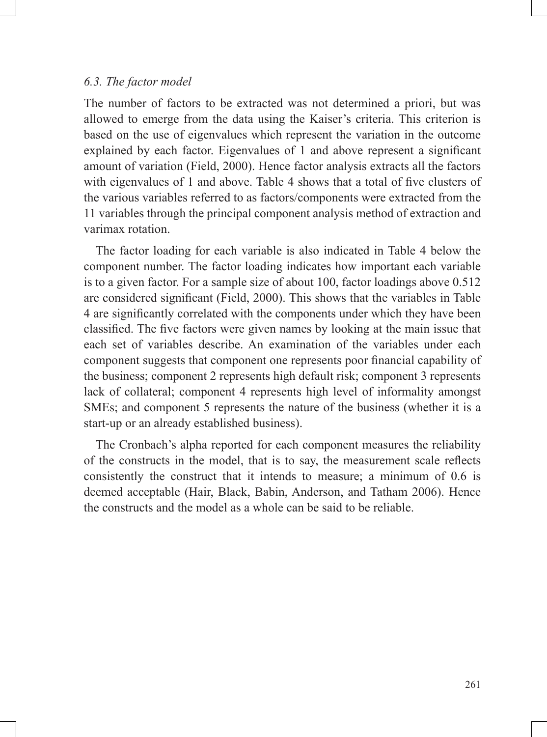### *6.3. The factor model*

The number of factors to be extracted was not determined a priori, but was allowed to emerge from the data using the Kaiser's criteria. This criterion is based on the use of eigenvalues which represent the variation in the outcome explained by each factor. Eigenvalues of 1 and above represent a significant amount of variation (Field, 2000). Hence factor analysis extracts all the factors with eigenvalues of 1 and above. Table 4 shows that a total of five clusters of the various variables referred to as factors/components were extracted from the 11 variables through the principal component analysis method of extraction and varimax rotation.

The factor loading for each variable is also indicated in Table 4 below the component number. The factor loading indicates how important each variable is to a given factor. For a sample size of about 100, factor loadings above 0.512 are considered significant (Field, 2000). This shows that the variables in Table 4 are significantly correlated with the components under which they have been classified. The five factors were given names by looking at the main issue that each set of variables describe. An examination of the variables under each component suggests that component one represents poor financial capability of the business; component 2 represents high default risk; component 3 represents lack of collateral; component 4 represents high level of informality amongst SMEs; and component 5 represents the nature of the business (whether it is a start-up or an already established business).

The Cronbach's alpha reported for each component measures the reliability of the constructs in the model, that is to say, the measurement scale reflects consistently the construct that it intends to measure; a minimum of 0.6 is deemed acceptable (Hair, Black, Babin, Anderson, and Tatham 2006). Hence the constructs and the model as a whole can be said to be reliable.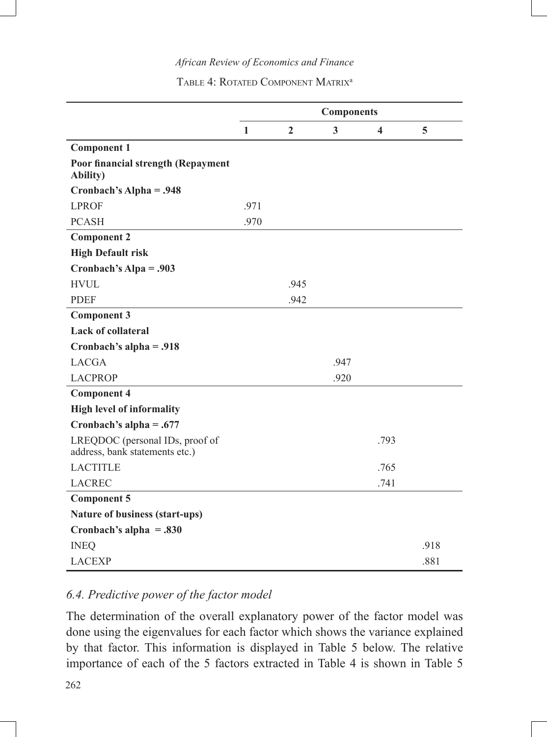|                                                                   |              |                | <b>Components</b> |                         |      |
|-------------------------------------------------------------------|--------------|----------------|-------------------|-------------------------|------|
|                                                                   | $\mathbf{1}$ | $\overline{2}$ | 3                 | $\overline{\mathbf{4}}$ | 5    |
| <b>Component 1</b>                                                |              |                |                   |                         |      |
| Poor financial strength (Repayment<br><b>Ability</b> )            |              |                |                   |                         |      |
| Cronbach's Alpha = .948                                           |              |                |                   |                         |      |
| <b>LPROF</b>                                                      | .971         |                |                   |                         |      |
| <b>PCASH</b>                                                      | .970         |                |                   |                         |      |
| <b>Component 2</b>                                                |              |                |                   |                         |      |
| <b>High Default risk</b>                                          |              |                |                   |                         |      |
| Cronbach's Alpa = .903                                            |              |                |                   |                         |      |
| <b>HVUL</b>                                                       |              | .945           |                   |                         |      |
| <b>PDEF</b>                                                       |              | .942           |                   |                         |      |
| <b>Component 3</b>                                                |              |                |                   |                         |      |
| <b>Lack of collateral</b>                                         |              |                |                   |                         |      |
| Cronbach's alpha = .918                                           |              |                |                   |                         |      |
| <b>LACGA</b>                                                      |              |                | .947              |                         |      |
| <b>LACPROP</b>                                                    |              |                | .920              |                         |      |
| <b>Component 4</b>                                                |              |                |                   |                         |      |
| <b>High level of informality</b>                                  |              |                |                   |                         |      |
| Cronbach's alpha = $.677$                                         |              |                |                   |                         |      |
| LREQDOC (personal IDs, proof of<br>address, bank statements etc.) |              |                |                   | .793                    |      |
| <b>LACTITLE</b>                                                   |              |                |                   | .765                    |      |
| <b>LACREC</b>                                                     |              |                |                   | .741                    |      |
| <b>Component 5</b>                                                |              |                |                   |                         |      |
| Nature of business (start-ups)                                    |              |                |                   |                         |      |
| Cronbach's alpha = $.830$                                         |              |                |                   |                         |      |
| <b>INEQ</b>                                                       |              |                |                   |                         | .918 |
| <b>LACEXP</b>                                                     |              |                |                   |                         | .881 |

# *6.4. Predictive power of the factor model*

The determination of the overall explanatory power of the factor model was done using the eigenvalues for each factor which shows the variance explained by that factor. This information is displayed in Table 5 below. The relative importance of each of the 5 factors extracted in Table 4 is shown in Table 5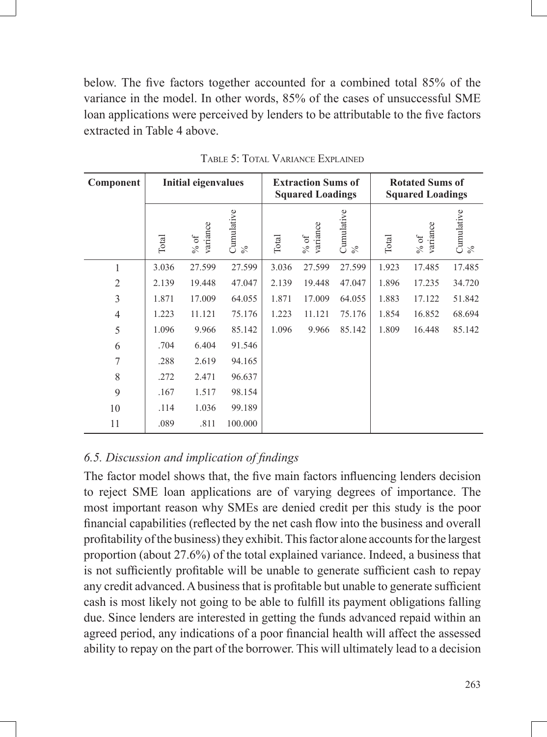below. The five factors together accounted for a combined total 85% of the variance in the model. In other words, 85% of the cases of unsuccessful SME loan applications were perceived by lenders to be attributable to the five factors extracted in Table 4 above.

| Component      | <b>Initial eigenvalues</b> |                                       |                    | <b>Extraction Sums of</b><br><b>Squared Loadings</b> |                  |                    | <b>Rotated Sums of</b><br><b>Squared Loadings</b> |                    |                    |
|----------------|----------------------------|---------------------------------------|--------------------|------------------------------------------------------|------------------|--------------------|---------------------------------------------------|--------------------|--------------------|
|                | Total                      | variance<br>$% \sigma _{0}^{\ast }$ % | Cumulative<br>$\%$ | Total                                                | variance<br>% of | Cumulative<br>$\%$ | Total                                             | variance<br>$%$ of | Cumulative<br>$\%$ |
| 1              | 3.036                      | 27.599                                | 27.599             | 3.036                                                | 27.599           | 27.599             | 1.923                                             | 17.485             | 17.485             |
| $\overline{c}$ | 2.139                      | 19.448                                | 47.047             | 2.139                                                | 19.448           | 47.047             | 1.896                                             | 17.235             | 34.720             |
| 3              | 1.871                      | 17.009                                | 64.055             | 1.871                                                | 17.009           | 64.055             | 1.883                                             | 17.122             | 51.842             |
| $\overline{4}$ | 1.223                      | 11.121                                | 75.176             | 1.223                                                | 11.121           | 75.176             | 1.854                                             | 16.852             | 68.694             |
| 5              | 1.096                      | 9.966                                 | 85.142             | 1.096                                                | 9.966            | 85.142             | 1.809                                             | 16.448             | 85.142             |
| 6              | .704                       | 6.404                                 | 91.546             |                                                      |                  |                    |                                                   |                    |                    |
| 7              | .288                       | 2.619                                 | 94.165             |                                                      |                  |                    |                                                   |                    |                    |
| 8              | .272                       | 2.471                                 | 96.637             |                                                      |                  |                    |                                                   |                    |                    |
| 9              | .167                       | 1.517                                 | 98.154             |                                                      |                  |                    |                                                   |                    |                    |
| 10             | .114                       | 1.036                                 | 99.189             |                                                      |                  |                    |                                                   |                    |                    |
| 11             | .089                       | .811                                  | 100.000            |                                                      |                  |                    |                                                   |                    |                    |

Table 5: Total Variance Explained

# *6.5. Discussion and implication of findings*

The factor model shows that, the five main factors influencing lenders decision to reject SME loan applications are of varying degrees of importance. The most important reason why SMEs are denied credit per this study is the poor financial capabilities (reflected by the net cash flow into the business and overall profitability of the business) they exhibit. This factor alone accounts for the largest proportion (about 27.6%) of the total explained variance. Indeed, a business that is not sufficiently profitable will be unable to generate sufficient cash to repay any credit advanced. A business that is profitable but unable to generate sufficient cash is most likely not going to be able to fulfill its payment obligations falling due. Since lenders are interested in getting the funds advanced repaid within an agreed period, any indications of a poor financial health will affect the assessed ability to repay on the part of the borrower. This will ultimately lead to a decision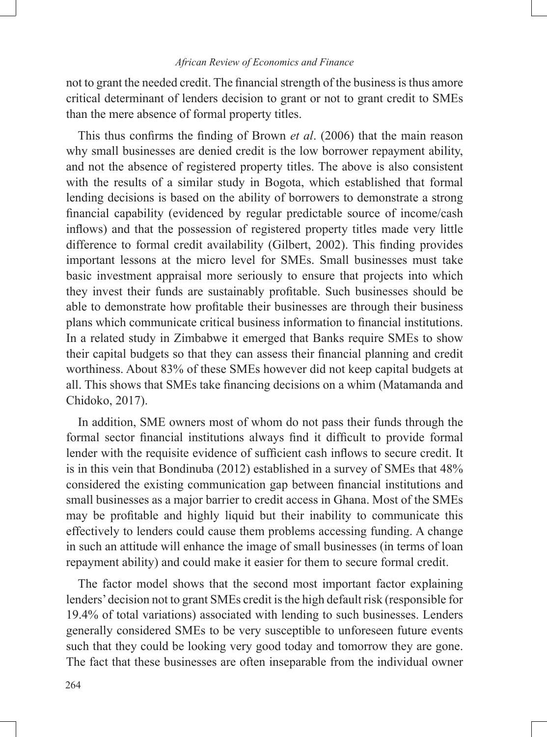not to grant the needed credit. The financial strength of the business is thus amore critical determinant of lenders decision to grant or not to grant credit to SMEs than the mere absence of formal property titles.

This thus confirms the finding of Brown *et al*. (2006) that the main reason why small businesses are denied credit is the low borrower repayment ability, and not the absence of registered property titles. The above is also consistent with the results of a similar study in Bogota, which established that formal lending decisions is based on the ability of borrowers to demonstrate a strong financial capability (evidenced by regular predictable source of income/cash inflows) and that the possession of registered property titles made very little difference to formal credit availability (Gilbert, 2002). This finding provides important lessons at the micro level for SMEs. Small businesses must take basic investment appraisal more seriously to ensure that projects into which they invest their funds are sustainably profitable. Such businesses should be able to demonstrate how profitable their businesses are through their business plans which communicate critical business information to financial institutions. In a related study in Zimbabwe it emerged that Banks require SMEs to show their capital budgets so that they can assess their financial planning and credit worthiness. About 83% of these SMEs however did not keep capital budgets at all. This shows that SMEs take financing decisions on a whim (Matamanda and Chidoko, 2017).

In addition, SME owners most of whom do not pass their funds through the formal sector financial institutions always find it difficult to provide formal lender with the requisite evidence of sufficient cash inflows to secure credit. It is in this vein that Bondinuba (2012) established in a survey of SMEs that 48% considered the existing communication gap between financial institutions and small businesses as a major barrier to credit access in Ghana. Most of the SMEs may be profitable and highly liquid but their inability to communicate this effectively to lenders could cause them problems accessing funding. A change in such an attitude will enhance the image of small businesses (in terms of loan repayment ability) and could make it easier for them to secure formal credit.

The factor model shows that the second most important factor explaining lenders' decision not to grant SMEs credit is the high default risk (responsible for 19.4% of total variations) associated with lending to such businesses. Lenders generally considered SMEs to be very susceptible to unforeseen future events such that they could be looking very good today and tomorrow they are gone. The fact that these businesses are often inseparable from the individual owner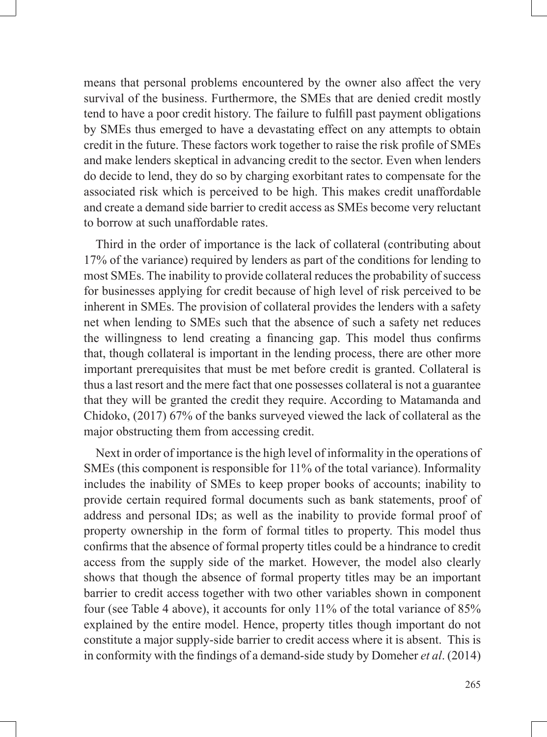means that personal problems encountered by the owner also affect the very survival of the business. Furthermore, the SMEs that are denied credit mostly tend to have a poor credit history. The failure to fulfill past payment obligations by SMEs thus emerged to have a devastating effect on any attempts to obtain credit in the future. These factors work together to raise the risk profile of SMEs and make lenders skeptical in advancing credit to the sector. Even when lenders do decide to lend, they do so by charging exorbitant rates to compensate for the associated risk which is perceived to be high. This makes credit unaffordable and create a demand side barrier to credit access as SMEs become very reluctant to borrow at such unaffordable rates.

Third in the order of importance is the lack of collateral (contributing about 17% of the variance) required by lenders as part of the conditions for lending to most SMEs. The inability to provide collateral reduces the probability of success for businesses applying for credit because of high level of risk perceived to be inherent in SMEs. The provision of collateral provides the lenders with a safety net when lending to SMEs such that the absence of such a safety net reduces the willingness to lend creating a financing gap. This model thus confirms that, though collateral is important in the lending process, there are other more important prerequisites that must be met before credit is granted. Collateral is thus a last resort and the mere fact that one possesses collateral is not a guarantee that they will be granted the credit they require. According to Matamanda and Chidoko, (2017) 67% of the banks surveyed viewed the lack of collateral as the major obstructing them from accessing credit.

Next in order of importance is the high level of informality in the operations of SMEs (this component is responsible for 11% of the total variance). Informality includes the inability of SMEs to keep proper books of accounts; inability to provide certain required formal documents such as bank statements, proof of address and personal IDs; as well as the inability to provide formal proof of property ownership in the form of formal titles to property. This model thus confirms that the absence of formal property titles could be a hindrance to credit access from the supply side of the market. However, the model also clearly shows that though the absence of formal property titles may be an important barrier to credit access together with two other variables shown in component four (see Table 4 above), it accounts for only 11% of the total variance of 85% explained by the entire model. Hence, property titles though important do not constitute a major supply-side barrier to credit access where it is absent. This is in conformity with the findings of a demand-side study by Domeher *et al*. (2014)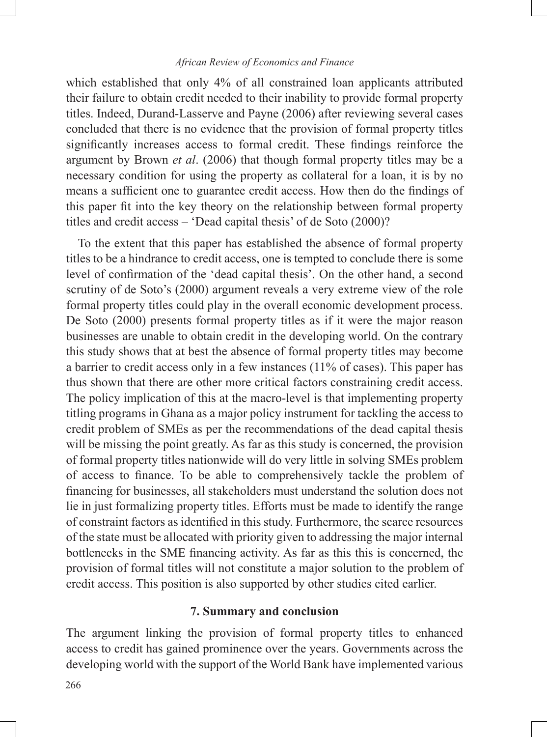which established that only 4% of all constrained loan applicants attributed their failure to obtain credit needed to their inability to provide formal property titles. Indeed, Durand-Lasserve and Payne (2006) after reviewing several cases concluded that there is no evidence that the provision of formal property titles significantly increases access to formal credit. These findings reinforce the argument by Brown *et al*. (2006) that though formal property titles may be a necessary condition for using the property as collateral for a loan, it is by no means a sufficient one to guarantee credit access. How then do the findings of this paper fit into the key theory on the relationship between formal property titles and credit access – 'Dead capital thesis' of de Soto (2000)?

To the extent that this paper has established the absence of formal property titles to be a hindrance to credit access, one is tempted to conclude there is some level of confirmation of the 'dead capital thesis'. On the other hand, a second scrutiny of de Soto's (2000) argument reveals a very extreme view of the role formal property titles could play in the overall economic development process. De Soto (2000) presents formal property titles as if it were the major reason businesses are unable to obtain credit in the developing world. On the contrary this study shows that at best the absence of formal property titles may become a barrier to credit access only in a few instances (11% of cases). This paper has thus shown that there are other more critical factors constraining credit access. The policy implication of this at the macro-level is that implementing property titling programs in Ghana as a major policy instrument for tackling the access to credit problem of SMEs as per the recommendations of the dead capital thesis will be missing the point greatly. As far as this study is concerned, the provision of formal property titles nationwide will do very little in solving SMEs problem of access to finance. To be able to comprehensively tackle the problem of financing for businesses, all stakeholders must understand the solution does not lie in just formalizing property titles. Efforts must be made to identify the range of constraint factors as identified in this study. Furthermore, the scarce resources of the state must be allocated with priority given to addressing the major internal bottlenecks in the SME financing activity. As far as this this is concerned, the provision of formal titles will not constitute a major solution to the problem of credit access. This position is also supported by other studies cited earlier.

### **7. Summary and conclusion**

The argument linking the provision of formal property titles to enhanced access to credit has gained prominence over the years. Governments across the developing world with the support of the World Bank have implemented various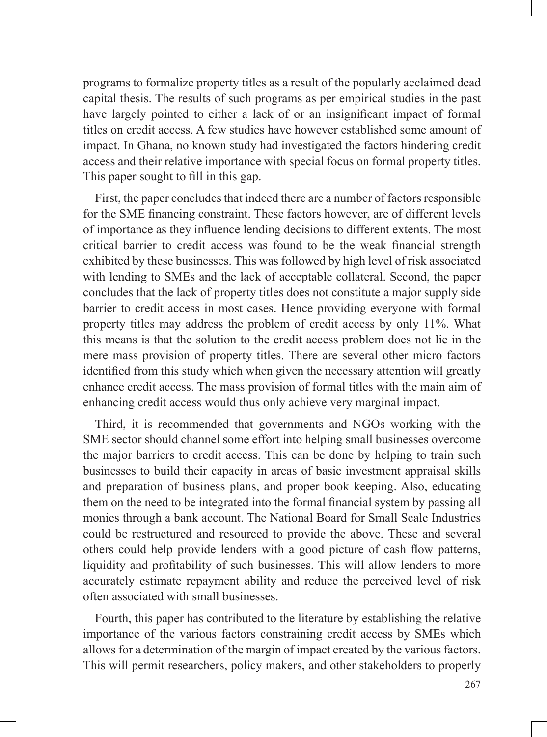programs to formalize property titles as a result of the popularly acclaimed dead capital thesis. The results of such programs as per empirical studies in the past have largely pointed to either a lack of or an insignificant impact of formal titles on credit access. A few studies have however established some amount of impact. In Ghana, no known study had investigated the factors hindering credit access and their relative importance with special focus on formal property titles. This paper sought to fill in this gap.

First, the paper concludes that indeed there are a number of factors responsible for the SME financing constraint. These factors however, are of different levels of importance as they influence lending decisions to different extents. The most critical barrier to credit access was found to be the weak financial strength exhibited by these businesses. This was followed by high level of risk associated with lending to SMEs and the lack of acceptable collateral. Second, the paper concludes that the lack of property titles does not constitute a major supply side barrier to credit access in most cases. Hence providing everyone with formal property titles may address the problem of credit access by only 11%. What this means is that the solution to the credit access problem does not lie in the mere mass provision of property titles. There are several other micro factors identified from this study which when given the necessary attention will greatly enhance credit access. The mass provision of formal titles with the main aim of enhancing credit access would thus only achieve very marginal impact.

Third, it is recommended that governments and NGOs working with the SME sector should channel some effort into helping small businesses overcome the major barriers to credit access. This can be done by helping to train such businesses to build their capacity in areas of basic investment appraisal skills and preparation of business plans, and proper book keeping. Also, educating them on the need to be integrated into the formal financial system by passing all monies through a bank account. The National Board for Small Scale Industries could be restructured and resourced to provide the above. These and several others could help provide lenders with a good picture of cash flow patterns, liquidity and profitability of such businesses. This will allow lenders to more accurately estimate repayment ability and reduce the perceived level of risk often associated with small businesses.

Fourth, this paper has contributed to the literature by establishing the relative importance of the various factors constraining credit access by SMEs which allows for a determination of the margin of impact created by the various factors. This will permit researchers, policy makers, and other stakeholders to properly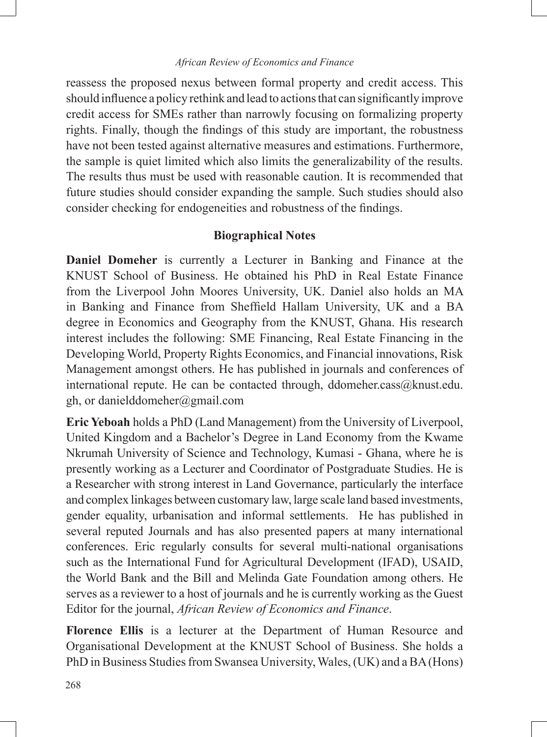reassess the proposed nexus between formal property and credit access. This should influence a policy rethink and lead to actions that can significantly improve credit access for SMEs rather than narrowly focusing on formalizing property rights. Finally, though the findings of this study are important, the robustness have not been tested against alternative measures and estimations. Furthermore, the sample is quiet limited which also limits the generalizability of the results. The results thus must be used with reasonable caution. It is recommended that future studies should consider expanding the sample. Such studies should also consider checking for endogeneities and robustness of the findings.

### **Biographical Notes**

**Daniel Domeher** is currently a Lecturer in Banking and Finance at the KNUST School of Business. He obtained his PhD in Real Estate Finance from the Liverpool John Moores University, UK. Daniel also holds an MA in Banking and Finance from Sheffield Hallam University, UK and a BA degree in Economics and Geography from the KNUST, Ghana. His research interest includes the following: SME Financing, Real Estate Financing in the Developing World, Property Rights Economics, and Financial innovations, Risk Management amongst others. He has published in journals and conferences of international repute. He can be contacted through, ddomeher.cass@knust.edu. gh, or danielddomeher@gmail.com

**Eric Yeboah** holds a PhD (Land Management) from the University of Liverpool, United Kingdom and a Bachelor's Degree in Land Economy from the Kwame Nkrumah University of Science and Technology, Kumasi - Ghana, where he is presently working as a Lecturer and Coordinator of Postgraduate Studies. He is a Researcher with strong interest in Land Governance, particularly the interface and complex linkages between customary law, large scale land based investments, gender equality, urbanisation and informal settlements. He has published in several reputed Journals and has also presented papers at many international conferences. Eric regularly consults for several multi-national organisations such as the International Fund for Agricultural Development (IFAD), USAID, the World Bank and the Bill and Melinda Gate Foundation among others. He serves as a reviewer to a host of journals and he is currently working as the Guest Editor for the journal, *African Review of Economics and Finance*.

**Florence Ellis** is a lecturer at the Department of Human Resource and Organisational Development at the KNUST School of Business. She holds a PhD in Business Studies from Swansea University, Wales, (UK) and a BA (Hons)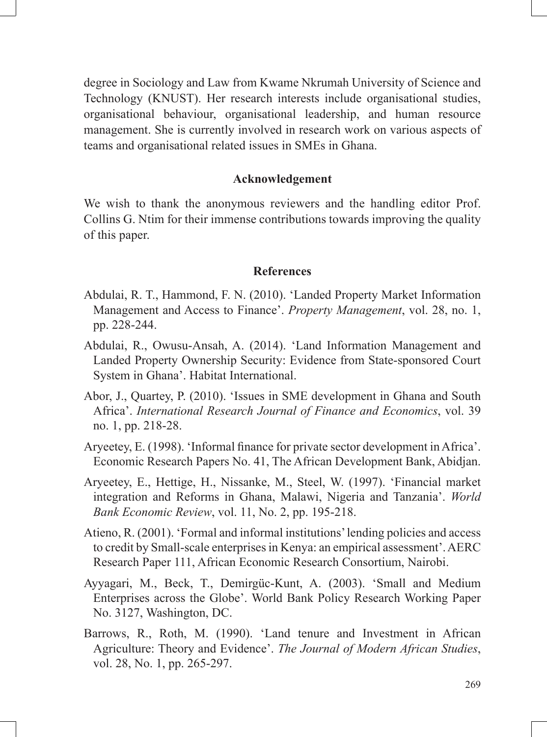degree in Sociology and Law from Kwame Nkrumah University of Science and Technology (KNUST). Her research interests include organisational studies, organisational behaviour, organisational leadership, and human resource management. She is currently involved in research work on various aspects of teams and organisational related issues in SMEs in Ghana.

#### **Acknowledgement**

We wish to thank the anonymous reviewers and the handling editor Prof. Collins G. Ntim for their immense contributions towards improving the quality of this paper.

### **References**

- Abdulai, R. T., Hammond, F. N. (2010). 'Landed Property Market Information Management and Access to Finance'. *Property Management*, vol. 28, no. 1, pp. 228-244.
- Abdulai, R., Owusu-Ansah, A. (2014). 'Land Information Management and Landed Property Ownership Security: Evidence from State-sponsored Court System in Ghana'. Habitat International.
- Abor, J., Quartey, P. (2010). 'Issues in SME development in Ghana and South Africa'. *International Research Journal of Finance and Economics*, vol. 39 no. 1, pp. 218-28.
- Aryeetey, E. (1998). 'Informal finance for private sector development in Africa'. Economic Research Papers No. 41, The African Development Bank, Abidjan.
- Aryeetey, E., Hettige, H., Nissanke, M., Steel, W. (1997). 'Financial market integration and Reforms in Ghana, Malawi, Nigeria and Tanzania'. *World Bank Economic Review*, vol. 11, No. 2, pp. 195-218.
- Atieno, R. (2001). 'Formal and informal institutions' lending policies and access to credit by Small-scale enterprises in Kenya: an empirical assessment'. AERC Research Paper 111, African Economic Research Consortium, Nairobi.
- Ayyagari, M., Beck, T., Demirgüc-Kunt, A. (2003). 'Small and Medium Enterprises across the Globe'. World Bank Policy Research Working Paper No. 3127, Washington, DC.
- Barrows, R., Roth, M. (1990). 'Land tenure and Investment in African Agriculture: Theory and Evidence'. *The Journal of Modern African Studies*, vol. 28, No. 1, pp. 265-297.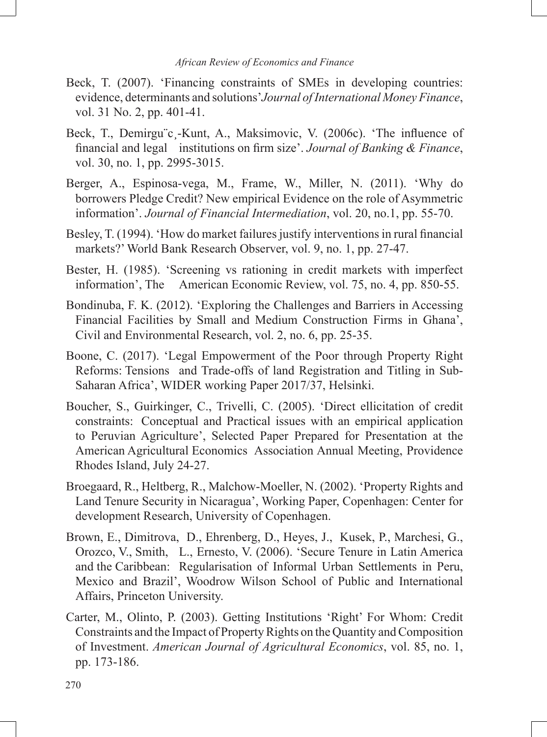- Beck, T. (2007). 'Financing constraints of SMEs in developing countries: evidence, determinants and solutions'*Journal of International Money Finance*, vol. 31 No. 2, pp. 401-41.
- Beck, T., Demirgu¨c¸-Kunt, A., Maksimovic, V. (2006c). 'The influence of financial and legal institutions on firm size'. *Journal of Banking & Finance*, vol. 30, no. 1, pp. 2995-3015.
- Berger, A., Espinosa-vega, M., Frame, W., Miller, N. (2011). 'Why do borrowers Pledge Credit? New empirical Evidence on the role of Asymmetric information'. *Journal of Financial Intermediation*, vol. 20, no.1, pp. 55-70.
- Besley, T. (1994). 'How do market failures justify interventions in rural financial markets?' World Bank Research Observer, vol. 9, no. 1, pp. 27-47.
- Bester, H. (1985). 'Screening vs rationing in credit markets with imperfect information', The American Economic Review, vol. 75, no. 4, pp. 850-55.
- Bondinuba, F. K. (2012). 'Exploring the Challenges and Barriers in Accessing Financial Facilities by Small and Medium Construction Firms in Ghana', Civil and Environmental Research, vol. 2, no. 6, pp. 25-35.
- Boone, C. (2017). 'Legal Empowerment of the Poor through Property Right Reforms: Tensions and Trade-offs of land Registration and Titling in Sub-Saharan Africa', WIDER working Paper 2017/37, Helsinki.
- Boucher, S., Guirkinger, C., Trivelli, C. (2005). 'Direct ellicitation of credit constraints: Conceptual and Practical issues with an empirical application to Peruvian Agriculture', Selected Paper Prepared for Presentation at the American Agricultural Economics Association Annual Meeting, Providence Rhodes Island, July 24-27.
- Broegaard, R., Heltberg, R., Malchow-Moeller, N. (2002). 'Property Rights and Land Tenure Security in Nicaragua', Working Paper, Copenhagen: Center for development Research, University of Copenhagen.
- Brown, E., Dimitrova, D., Ehrenberg, D., Heyes, J., Kusek, P., Marchesi, G., Orozco, V., Smith, L., Ernesto, V. (2006). 'Secure Tenure in Latin America and the Caribbean: Regularisation of Informal Urban Settlements in Peru, Mexico and Brazil', Woodrow Wilson School of Public and International Affairs, Princeton University.
- Carter, M., Olinto, P. (2003). Getting Institutions 'Right' For Whom: Credit Constraints and the Impact of Property Rights on the Quantity and Composition of Investment. *American Journal of Agricultural Economics*, vol. 85, no. 1, pp. 173-186.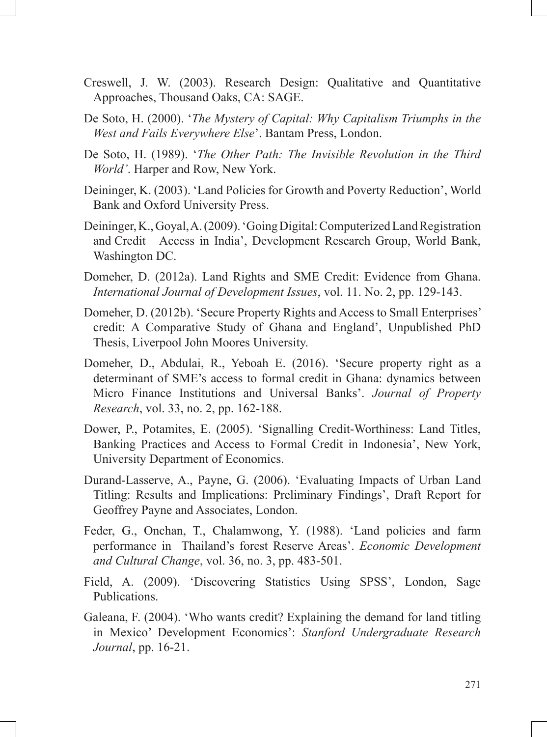- Creswell, J. W. (2003). Research Design: Qualitative and Quantitative Approaches, Thousand Oaks, CA: SAGE.
- De Soto, H. (2000). '*The Mystery of Capital: Why Capitalism Triumphs in the West and Fails Everywhere Else*'. Bantam Press, London.
- De Soto, H. (1989). '*The Other Path: The Invisible Revolution in the Third World'*. Harper and Row, New York.
- Deininger, K. (2003). 'Land Policies for Growth and Poverty Reduction', World Bank and Oxford University Press.
- Deininger, K., Goyal, A. (2009). 'Going Digital: Computerized Land Registration and Credit Access in India', Development Research Group, World Bank, Washington DC.
- Domeher, D. (2012a). Land Rights and SME Credit: Evidence from Ghana. *International Journal of Development Issues*, vol. 11. No. 2, pp. 129-143.
- Domeher, D. (2012b). 'Secure Property Rights and Access to Small Enterprises' credit: A Comparative Study of Ghana and England', Unpublished PhD Thesis, Liverpool John Moores University.
- Domeher, D., Abdulai, R., Yeboah E. (2016). 'Secure property right as a determinant of SME's access to formal credit in Ghana: dynamics between Micro Finance Institutions and Universal Banks'. *Journal of Property Research*, vol. 33, no. 2, pp. 162-188.
- Dower, P., Potamites, E. (2005). 'Signalling Credit-Worthiness: Land Titles, Banking Practices and Access to Formal Credit in Indonesia', New York, University Department of Economics.
- Durand-Lasserve, A., Payne, G. (2006). 'Evaluating Impacts of Urban Land Titling: Results and Implications: Preliminary Findings', Draft Report for Geoffrey Payne and Associates, London.
- Feder, G., Onchan, T., Chalamwong, Y. (1988). 'Land policies and farm performance in Thailand's forest Reserve Areas'. *Economic Development and Cultural Change*, vol. 36, no. 3, pp. 483-501.
- Field, A. (2009). 'Discovering Statistics Using SPSS', London, Sage Publications.
- Galeana, F. (2004). 'Who wants credit? Explaining the demand for land titling in Mexico' Development Economics': *Stanford Undergraduate Research Journal*, pp. 16-21.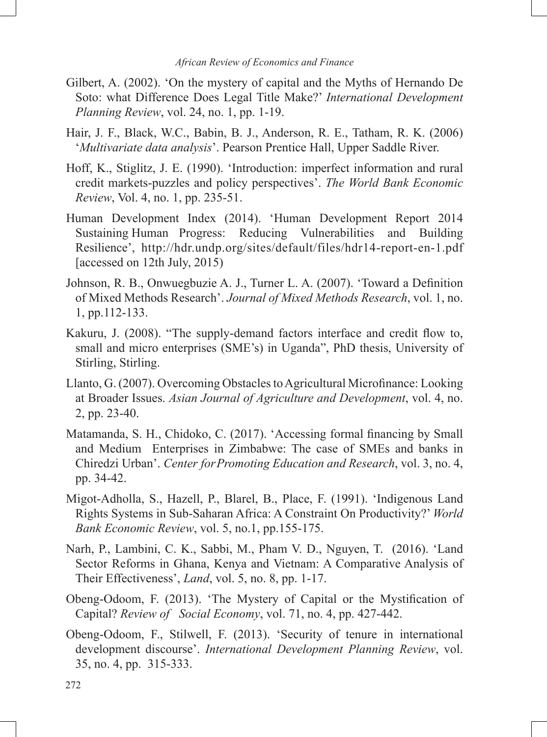- Gilbert, A. (2002). 'On the mystery of capital and the Myths of Hernando De Soto: what Difference Does Legal Title Make?' *International Development Planning Review*, vol. 24, no. 1, pp. 1-19.
- Hair, J. F., Black, W.C., Babin, B. J., Anderson, R. E., Tatham, R. K. (2006) '*Multivariate data analysis*'. Pearson Prentice Hall, Upper Saddle River.
- Hoff, K., Stiglitz, J. E. (1990). 'Introduction: imperfect information and rural credit markets-puzzles and policy perspectives'. *The World Bank Economic Review*, Vol. 4, no. 1, pp. 235-51.
- Human Development Index (2014). 'Human Development Report 2014 Sustaining Human Progress: Reducing Vulnerabilities and Building Resilience', http://hdr.undp.org/sites/default/files/hdr14-report-en-1.pdf [accessed on 12th July, 2015)
- Johnson, R. B., Onwuegbuzie A. J., Turner L. A. (2007). 'Toward a Definition of Mixed Methods Research'. *Journal of Mixed Methods Research*, vol. 1, no. 1, pp.112-133.
- Kakuru, J. (2008). "The supply-demand factors interface and credit flow to, small and micro enterprises (SME's) in Uganda", PhD thesis, University of Stirling, Stirling.
- Llanto, G. (2007). Overcoming Obstacles to Agricultural Microfinance: Looking at Broader Issues. *Asian Journal of Agriculture and Development*, vol. 4, no. 2, pp. 23-40.
- Matamanda, S. H., Chidoko, C. (2017). 'Accessing formal financing by Small and Medium Enterprises in Zimbabwe: The case of SMEs and banks in Chiredzi Urban'. *Center forPromoting Education and Research*, vol. 3, no. 4, pp. 34-42.
- Migot-Adholla, S., Hazell, P., Blarel, B., Place, F. (1991). 'Indigenous Land Rights Systems in Sub-Saharan Africa: A Constraint On Productivity?' *World Bank Economic Review*, vol. 5, no.1, pp.155-175.
- Narh, P., Lambini, C. K., Sabbi, M., Pham V. D., Nguyen, T. (2016). 'Land Sector Reforms in Ghana, Kenya and Vietnam: A Comparative Analysis of Their Effectiveness', *Land*, vol. 5, no. 8, pp. 1-17.
- Obeng-Odoom, F. (2013). 'The Mystery of Capital or the Mystification of Capital? *Review of Social Economy*, vol. 71, no. 4, pp. 427-442.
- Obeng-Odoom, F., Stilwell, F. (2013). 'Security of tenure in international development discourse'. *International Development Planning Review*, vol. 35, no. 4, pp. 315-333.